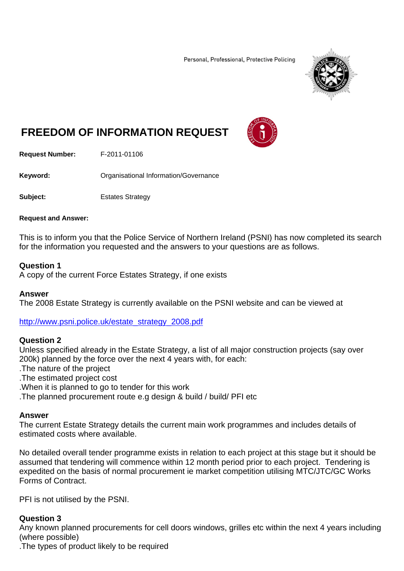Personal, Professional, Protective Policing



# **FREEDOM OF INFORMATION REQUEST**



**Request Number:** F-2011-01106

**Keyword:** Organisational Information/Governance

**Subject:** Estates Strategy

#### **Request and Answer:**

This is to inform you that the Police Service of Northern Ireland (PSNI) has now completed its search for the information you requested and the answers to your questions are as follows.

## **Question 1**

A copy of the current Force Estates Strategy, if one exists

## **Answer**

The 2008 Estate Strategy is currently available on the PSNI website and can be viewed at

http://www.psni.police.uk/estate\_strategy\_2008.pdf

## **Question 2**

Unless specified already in the Estate Strategy, a list of all major construction projects (say over 200k) planned by the force over the next 4 years with, for each:

.The nature of the project

.The estimated project cost

.When it is planned to go to tender for this work

.The planned procurement route e.g design & build / build/ PFI etc

## **Answer**

The current Estate Strategy details the current main work programmes and includes details of estimated costs where available.

No detailed overall tender programme exists in relation to each project at this stage but it should be assumed that tendering will commence within 12 month period prior to each project. Tendering is expedited on the basis of normal procurement ie market competition utilising MTC/JTC/GC Works Forms of Contract.

PFI is not utilised by the PSNI.

## **Question 3**

Any known planned procurements for cell doors windows, grilles etc within the next 4 years including (where possible)

.The types of product likely to be required